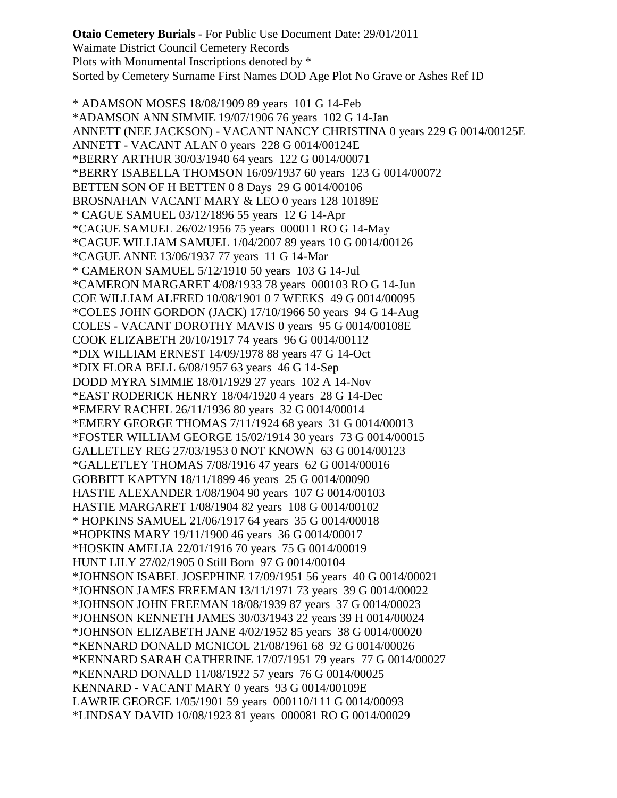**Otaio Cemetery Burials** - For Public Use Document Date: 29/01/2011 Waimate District Council Cemetery Records Plots with Monumental Inscriptions denoted by \* Sorted by Cemetery Surname First Names DOD Age Plot No Grave or Ashes Ref ID

\* ADAMSON MOSES 18/08/1909 89 years 101 G 14-Feb \*ADAMSON ANN SIMMIE 19/07/1906 76 years 102 G 14-Jan ANNETT (NEE JACKSON) - VACANT NANCY CHRISTINA 0 years 229 G 0014/00125E ANNETT - VACANT ALAN 0 years 228 G 0014/00124E \*BERRY ARTHUR 30/03/1940 64 years 122 G 0014/00071 \*BERRY ISABELLA THOMSON 16/09/1937 60 years 123 G 0014/00072 BETTEN SON OF H BETTEN 0 8 Days 29 G 0014/00106 BROSNAHAN VACANT MARY & LEO 0 years 128 10189E \* CAGUE SAMUEL 03/12/1896 55 years 12 G 14-Apr \*CAGUE SAMUEL 26/02/1956 75 years 000011 RO G 14-May \*CAGUE WILLIAM SAMUEL 1/04/2007 89 years 10 G 0014/00126 \*CAGUE ANNE 13/06/1937 77 years 11 G 14-Mar \* CAMERON SAMUEL 5/12/1910 50 years 103 G 14-Jul \*CAMERON MARGARET 4/08/1933 78 years 000103 RO G 14-Jun COE WILLIAM ALFRED 10/08/1901 0 7 WEEKS 49 G 0014/00095 \*COLES JOHN GORDON (JACK) 17/10/1966 50 years 94 G 14-Aug COLES - VACANT DOROTHY MAVIS 0 years 95 G 0014/00108E COOK ELIZABETH 20/10/1917 74 years 96 G 0014/00112 \*DIX WILLIAM ERNEST 14/09/1978 88 years 47 G 14-Oct \*DIX FLORA BELL 6/08/1957 63 years 46 G 14-Sep DODD MYRA SIMMIE 18/01/1929 27 years 102 A 14-Nov \*EAST RODERICK HENRY 18/04/1920 4 years 28 G 14-Dec \*EMERY RACHEL 26/11/1936 80 years 32 G 0014/00014 \*EMERY GEORGE THOMAS 7/11/1924 68 years 31 G 0014/00013 \*FOSTER WILLIAM GEORGE 15/02/1914 30 years 73 G 0014/00015 GALLETLEY REG 27/03/1953 0 NOT KNOWN 63 G 0014/00123 \*GALLETLEY THOMAS 7/08/1916 47 years 62 G 0014/00016 GOBBITT KAPTYN 18/11/1899 46 years 25 G 0014/00090 HASTIE ALEXANDER 1/08/1904 90 years 107 G 0014/00103 HASTIE MARGARET 1/08/1904 82 years 108 G 0014/00102 \* HOPKINS SAMUEL 21/06/1917 64 years 35 G 0014/00018 \*HOPKINS MARY 19/11/1900 46 years 36 G 0014/00017 \*HOSKIN AMELIA 22/01/1916 70 years 75 G 0014/00019 HUNT LILY 27/02/1905 0 Still Born 97 G 0014/00104 \*JOHNSON ISABEL JOSEPHINE 17/09/1951 56 years 40 G 0014/00021 \*JOHNSON JAMES FREEMAN 13/11/1971 73 years 39 G 0014/00022 \*JOHNSON JOHN FREEMAN 18/08/1939 87 years 37 G 0014/00023 \*JOHNSON KENNETH JAMES 30/03/1943 22 years 39 H 0014/00024 \*JOHNSON ELIZABETH JANE 4/02/1952 85 years 38 G 0014/00020 \*KENNARD DONALD MCNICOL 21/08/1961 68 92 G 0014/00026 \*KENNARD SARAH CATHERINE 17/07/1951 79 years 77 G 0014/00027 \*KENNARD DONALD 11/08/1922 57 years 76 G 0014/00025 KENNARD - VACANT MARY 0 years 93 G 0014/00109E LAWRIE GEORGE 1/05/1901 59 years 000110/111 G 0014/00093 \*LINDSAY DAVID 10/08/1923 81 years 000081 RO G 0014/00029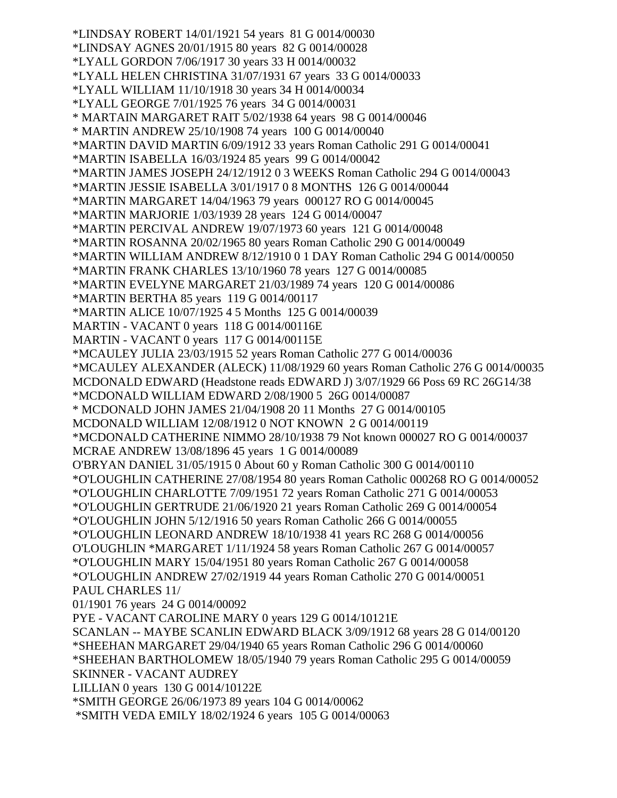\*LINDSAY ROBERT 14/01/1921 54 years 81 G 0014/00030 \*LINDSAY AGNES 20/01/1915 80 years 82 G 0014/00028 \*LYALL GORDON 7/06/1917 30 years 33 H 0014/00032 \*LYALL HELEN CHRISTINA 31/07/1931 67 years 33 G 0014/00033 \*LYALL WILLIAM 11/10/1918 30 years 34 H 0014/00034 \*LYALL GEORGE 7/01/1925 76 years 34 G 0014/00031 \* MARTAIN MARGARET RAIT 5/02/1938 64 years 98 G 0014/00046 \* MARTIN ANDREW 25/10/1908 74 years 100 G 0014/00040 \*MARTIN DAVID MARTIN 6/09/1912 33 years Roman Catholic 291 G 0014/00041 \*MARTIN ISABELLA 16/03/1924 85 years 99 G 0014/00042 \*MARTIN JAMES JOSEPH 24/12/1912 0 3 WEEKS Roman Catholic 294 G 0014/00043 \*MARTIN JESSIE ISABELLA 3/01/1917 0 8 MONTHS 126 G 0014/00044 \*MARTIN MARGARET 14/04/1963 79 years 000127 RO G 0014/00045 \*MARTIN MARJORIE 1/03/1939 28 years 124 G 0014/00047 \*MARTIN PERCIVAL ANDREW 19/07/1973 60 years 121 G 0014/00048 \*MARTIN ROSANNA 20/02/1965 80 years Roman Catholic 290 G 0014/00049 \*MARTIN WILLIAM ANDREW 8/12/1910 0 1 DAY Roman Catholic 294 G 0014/00050 \*MARTIN FRANK CHARLES 13/10/1960 78 years 127 G 0014/00085 \*MARTIN EVELYNE MARGARET 21/03/1989 74 years 120 G 0014/00086 \*MARTIN BERTHA 85 years 119 G 0014/00117 \*MARTIN ALICE 10/07/1925 4 5 Months 125 G 0014/00039 MARTIN - VACANT 0 years 118 G 0014/00116E MARTIN - VACANT 0 years 117 G 0014/00115E \*MCAULEY JULIA 23/03/1915 52 years Roman Catholic 277 G 0014/00036 \*MCAULEY ALEXANDER (ALECK) 11/08/1929 60 years Roman Catholic 276 G 0014/00035 MCDONALD EDWARD (Headstone reads EDWARD J) 3/07/1929 66 Poss 69 RC 26G14/38 \*MCDONALD WILLIAM EDWARD 2/08/1900 5 26G 0014/00087 \* MCDONALD JOHN JAMES 21/04/1908 20 11 Months 27 G 0014/00105 MCDONALD WILLIAM 12/08/1912 0 NOT KNOWN 2 G 0014/00119 \*MCDONALD CATHERINE NIMMO 28/10/1938 79 Not known 000027 RO G 0014/00037 MCRAE ANDREW 13/08/1896 45 years 1 G 0014/00089 O'BRYAN DANIEL 31/05/1915 0 About 60 y Roman Catholic 300 G 0014/00110 \*O'LOUGHLIN CATHERINE 27/08/1954 80 years Roman Catholic 000268 RO G 0014/00052 \*O'LOUGHLIN CHARLOTTE 7/09/1951 72 years Roman Catholic 271 G 0014/00053 \*O'LOUGHLIN GERTRUDE 21/06/1920 21 years Roman Catholic 269 G 0014/00054 \*O'LOUGHLIN JOHN 5/12/1916 50 years Roman Catholic 266 G 0014/00055 \*O'LOUGHLIN LEONARD ANDREW 18/10/1938 41 years RC 268 G 0014/00056 O'LOUGHLIN \*MARGARET 1/11/1924 58 years Roman Catholic 267 G 0014/00057 \*O'LOUGHLIN MARY 15/04/1951 80 years Roman Catholic 267 G 0014/00058 \*O'LOUGHLIN ANDREW 27/02/1919 44 years Roman Catholic 270 G 0014/00051 PAUL CHARLES 11/ 01/1901 76 years 24 G 0014/00092 PYE - VACANT CAROLINE MARY 0 years 129 G 0014/10121E SCANLAN -- MAYBE SCANLIN EDWARD BLACK 3/09/1912 68 years 28 G 014/00120 \*SHEEHAN MARGARET 29/04/1940 65 years Roman Catholic 296 G 0014/00060 \*SHEEHAN BARTHOLOMEW 18/05/1940 79 years Roman Catholic 295 G 0014/00059 SKINNER - VACANT AUDREY LILLIAN 0 years 130 G 0014/10122E \*SMITH GEORGE 26/06/1973 89 years 104 G 0014/00062 \*SMITH VEDA EMILY 18/02/1924 6 years 105 G 0014/00063